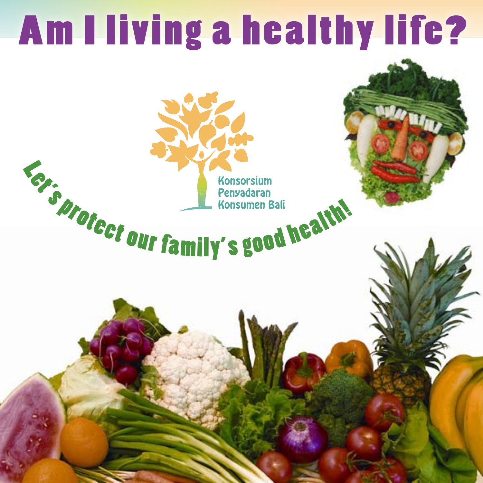### Am I living a healthy life?

**Engineer of the California Construction of the California California California California California California California California California California California California California California California Californi**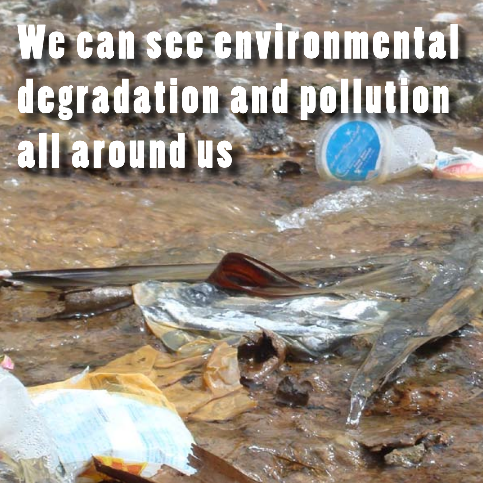### We can see environmental degradation and pollution all around us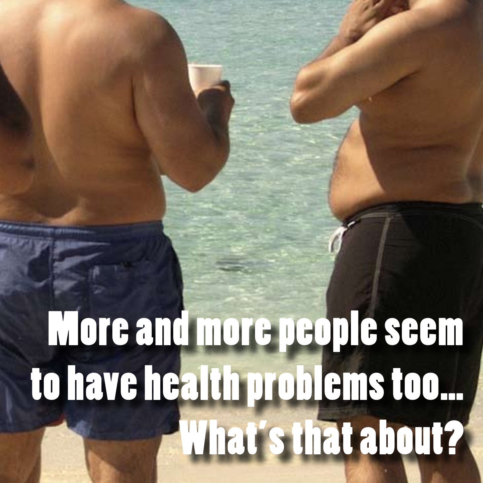### More and more people seem to have health problems too… What's that about?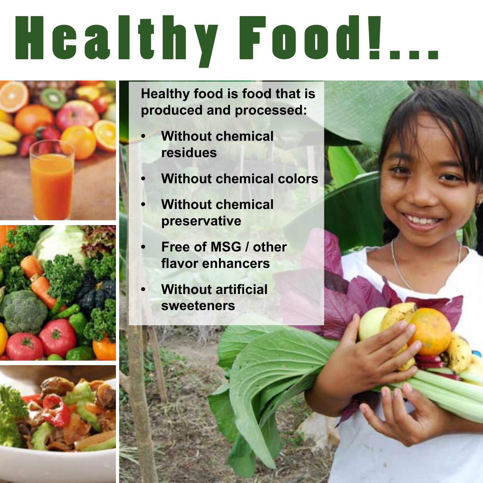# Healthy Food!...







**Healthy food is food that is produced and processed:**

- **Without chemical residues**
- **Without chemical colors**
- **Without chemical preservative**
- **Free of MSG / other flavor enhancers**
- **• Without artificial sweeteners**

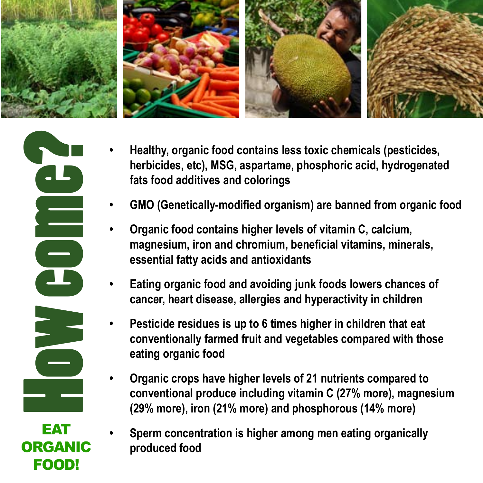



**FOOD!** 

- **Healthy, organic food contains less toxic chemicals (pesticides,**  $\overline{a}$ **herbicides, etc), MSG, aspartame, phosphoric acid, hydrogenated fats food additives and colorings**
- **• GMO (Genetically-modified organism) are banned from organic food**
- **Organic food contains higher levels of vitamin C, calcium, magnesium, iron and chromium, beneficial vitamins, minerals, essential fatty acids and antioxidants**
- **Eating organic food and avoiding junk foods lowers chances of cancer, heart disease, allergies and hyperactivity in children**
- **Pesticide residues is up to 6 times higher in children that eat conventionally farmed fruit and vegetables compared with those eating organic food**
- **Organic crops have higher levels of 21 nutrients compared to conventional produce including vitamin C (27% more), magnesium (29% more), iron (21% more) and phosphorous (14% more)**
- **Sperm concentration is higher among men eating organically produced food**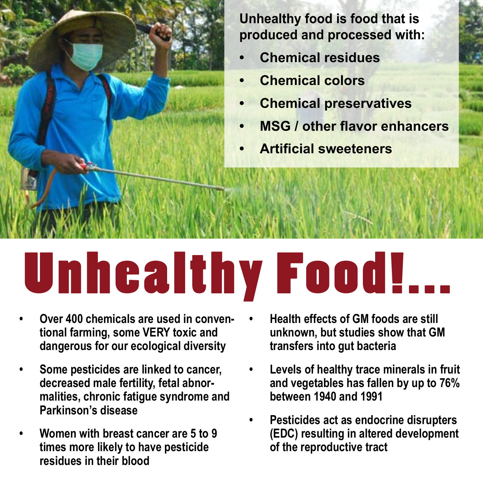

**Unhealthy food is food that is produced and processed with:**

- **Chemical residues**
- **• Chemical colors**
- **Chemical preservatives**
- **• MSG / other flavor enhancers**
- **• Artificial sweeteners**

## Unhealthy Food!...

- Over 400 chemicals are used in conven**tional farming, some VERY toxic and dangerous for our ecological diversity**
- **• Some pesticides are linked to cancer, decreased male fertility, fetal abnormalities, chronic fatigue syndrome and Parkinson's disease**
- **Women with breast cancer are 5 to 9 times more likely to have pesticide residues in their blood**
- **• Health effects of GM foods are still unknown, but studies show that GM transfers into gut bacteria**
- Levels of healthy trace minerals in fruit **and vegetables has fallen by up to 76% between 1940 and 1991**
- **Pesticides act as endocrine disrupters (EDC) resulting in altered development of the reproductive tract**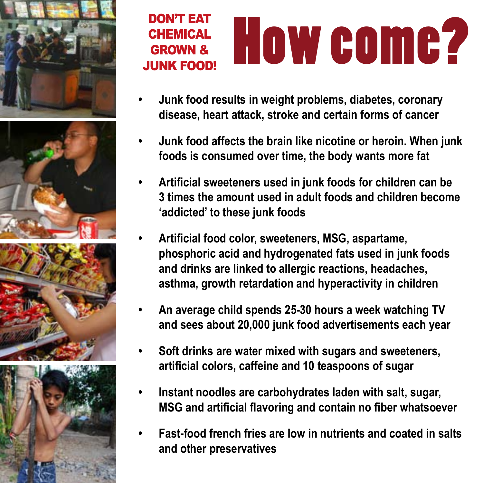







### CHEMICAL HOW COMP? **CHEMICAL** GROWN & JUNK FOOD!

- **Junk food results in weight problems, diabetes, coronary disease, heart attack, stroke and certain forms of cancer**
- **Junk food affects the brain like nicotine or heroin. When junk foods is consumed over time, the body wants more fat**
- **• Artificial sweeteners used in junk foods for children can be 3 times the amount used in adult foods and children become 'addicted' to these junk foods**
- **• Artificial food color, sweeteners, MSG, aspartame, phosphoric acid and hydrogenated fats used in junk foods and drinks are linked to allergic reactions, headaches, asthma, growth retardation and hyperactivity in children**
- **• An average child spends 25-30 hours a week watching TV and sees about 20,000 junk food advertisements each year**
- **Soft drinks are water mixed with sugars and sweeteners, artificial colors, caffeine and 10 teaspoons of sugar**
- **Instant noodles are carbohydrates laden with salt, sugar, MSG and artificial flavoring and contain no fiber whatsoever**
- **Fast-food french fries are low in nutrients and coated in salts and other preservatives**